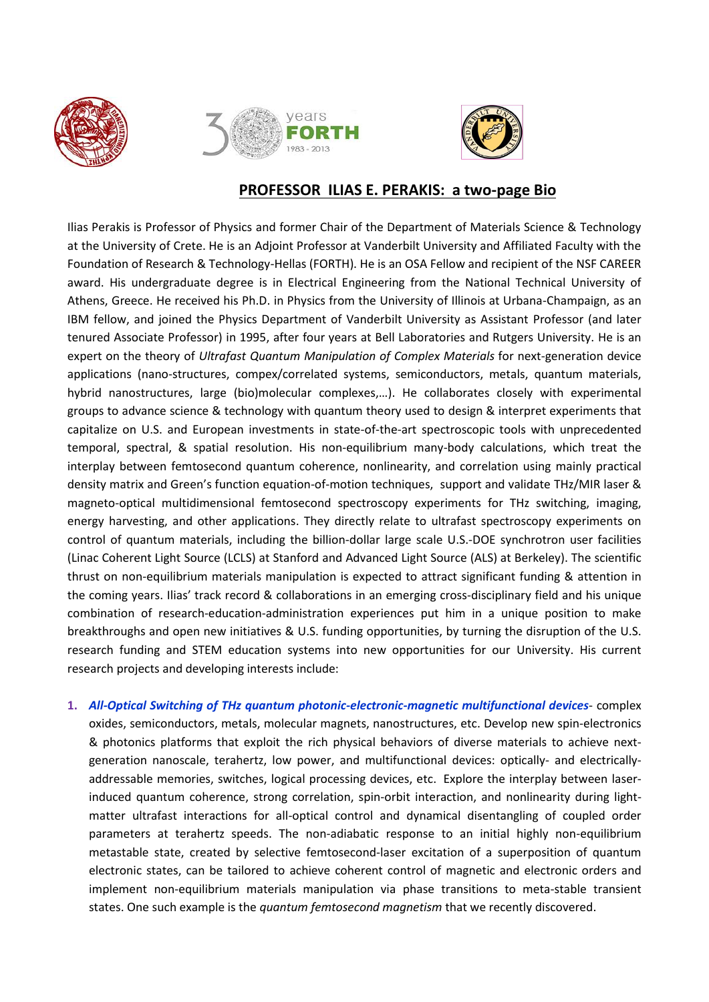





# **PROFESSOR ILIAS E. PERAKIS: a two-page Bio**

Ilias Perakis is Professor of Physics and former Chair of the Department of Materials Science & Technology at the University of Crete. He is an Adjoint Professor at Vanderbilt University and Affiliated Faculty with the Foundation of Research & Technology-Hellas (FORTH). He is an OSA Fellow and recipient of the NSF CAREER award. His undergraduate degree is in Electrical Engineering from the National Technical University of Athens, Greece. He received his Ph.D. in Physics from the University of Illinois at Urbana-Champaign, as an IBM fellow, and joined the Physics Department of Vanderbilt University as Assistant Professor (and later tenured Associate Professor) in 1995, after four years at Bell Laboratories and Rutgers University. He is an expert on the theory of *Ultrafast Quantum Manipulation of Complex Materials* for next-generation device applications (nano-structures, compex/correlated systems, semiconductors, metals, quantum materials, hybrid nanostructures, large (bio)molecular complexes,…). He collaborates closely with experimental groups to advance science & technology with quantum theory used to design & interpret experiments that capitalize on U.S. and European investments in state-of-the-art spectroscopic tools with unprecedented temporal, spectral, & spatial resolution. His non-equilibrium many-body calculations, which treat the interplay between femtosecond quantum coherence, nonlinearity, and correlation using mainly practical density matrix and Green's function equation-of-motion techniques, support and validate THz/MIR laser & magneto-optical multidimensional femtosecond spectroscopy experiments for THz switching, imaging, energy harvesting, and other applications. They directly relate to ultrafast spectroscopy experiments on control of quantum materials, including the billion-dollar large scale U.S.-DOE synchrotron user facilities (Linac Coherent Light Source (LCLS) at Stanford and Advanced Light Source (ALS) at Berkeley). The scientific thrust on non-equilibrium materials manipulation is expected to attract significant funding & attention in the coming years. Ilias' track record & collaborations in an emerging cross-disciplinary field and his unique combination of research-education-administration experiences put him in a unique position to make breakthroughs and open new initiatives & U.S. funding opportunities, by turning the disruption of the U.S. research funding and STEM education systems into new opportunities for our University. His current research projects and developing interests include:

**1.** *All-Optical Switching of THz quantum photonic-electronic-magnetic multifunctional devices*- complex oxides, semiconductors, metals, molecular magnets, nanostructures, etc. Develop new spin-electronics & photonics platforms that exploit the rich physical behaviors of diverse materials to achieve nextgeneration nanoscale, terahertz, low power, and multifunctional devices: optically- and electricallyaddressable memories, switches, logical processing devices, etc. Explore the interplay between laserinduced quantum coherence, strong correlation, spin-orbit interaction, and nonlinearity during lightmatter ultrafast interactions for all-optical control and dynamical disentangling of coupled order parameters at terahertz speeds. The non-adiabatic response to an initial highly non-equilibrium metastable state, created by selective femtosecond-laser excitation of a superposition of quantum electronic states, can be tailored to achieve coherent control of magnetic and electronic orders and implement non-equilibrium materials manipulation via phase transitions to meta-stable transient states. One such example is the *quantum femtosecond magnetism* that we recently discovered.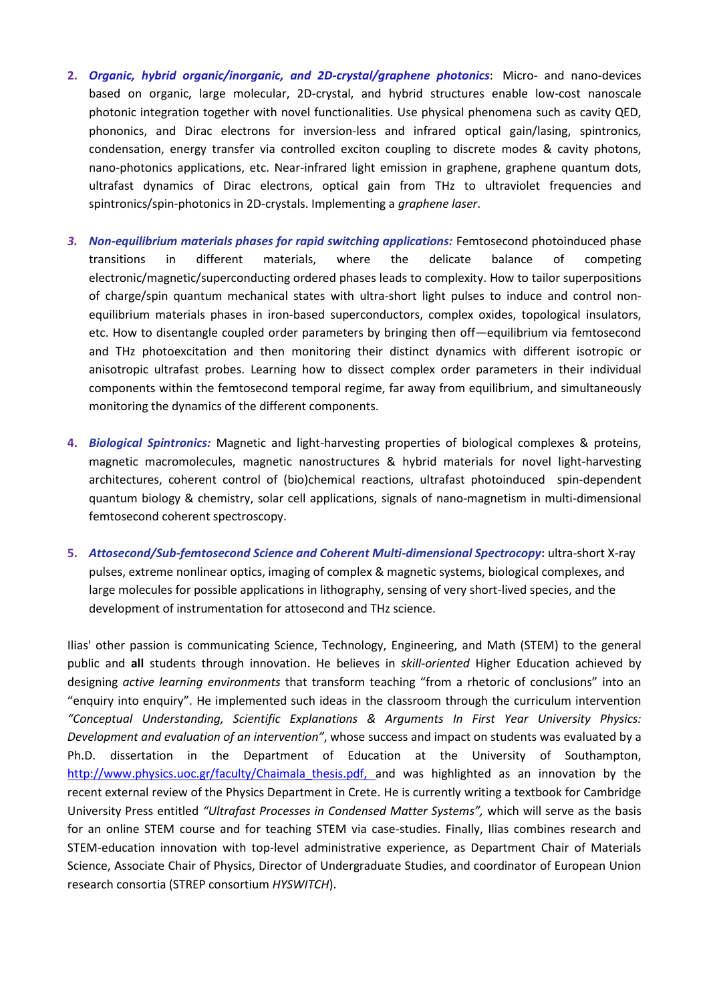- **2.** *Organic, hybrid organic/inorganic, and 2D-crystal/graphene photonics*: Micro- and nano-devices based on organic, large molecular, 2D-crystal, and hybrid structures enable low-cost nanoscale photonic integration together with novel functionalities. Use physical phenomena such as cavity QED, phononics, and Dirac electrons for inversion-less and infrared optical gain/lasing, spintronics, condensation, energy transfer via controlled exciton coupling to discrete modes & cavity photons, nano-photonics applications, etc. Near-infrared light emission in graphene, graphene quantum dots, ultrafast dynamics of Dirac electrons, optical gain from THz to ultraviolet frequencies and spintronics/spin-photonics in 2D-crystals. Implementing a *graphene laser*.
- 3. Non-equilibrium materials phases for rapid switching applications: Femtosecond photoinduced phase transitions in different materials, where the delicate balance of competing electronic/magnetic/superconducting ordered phases leads to complexity. How to tailor superpositions of charge/spin quantum mechanical states with ultra-short light pulses to induce and control nonequilibrium materials phases in iron-based superconductors, complex oxides, topological insulators, etc. How to disentangle coupled order parameters by bringing then off—equilibrium via femtosecond and THz photoexcitation and then monitoring their distinct dynamics with different isotropic or anisotropic ultrafast probes. Learning how to dissect complex order parameters in their individual components within the femtosecond temporal regime, far away from equilibrium, and simultaneously monitoring the dynamics of the different components.
- **4.** *Biological Spintronics:* Magnetic and light-harvesting properties of biological complexes & proteins, magnetic macromolecules, magnetic nanostructures & hybrid materials for novel light-harvesting architectures, coherent control of (bio)chemical reactions, ultrafast photoinduced spin-dependent quantum biology & chemistry, solar cell applications, signals of nano-magnetism in multi-dimensional femtosecond coherent spectroscopy.
- **5.** *Attosecond/Sub-femtosecond Science and Coherent Multi-dimensional Spectrocopy***:** ultra-short X-ray pulses, extreme nonlinear optics, imaging of complex & magnetic systems, biological complexes, and large molecules for possible applications in lithography, sensing of very short-lived species, and the development of instrumentation for attosecond and THz science.

Ilias' other passion is communicating Science, Technology, Engineering, and Math (STEM) to the general public and **all** students through innovation. He believes in *skill-oriented* Higher Education achieved by designing *active learning environments* that transform teaching "from a rhetoric of conclusions" into an "enquiry into enquiry". He implemented such ideas in the classroom through the curriculum intervention *"Conceptual Understanding, Scientific Explanations & Arguments In First Year University Physics: Development and evaluation of an intervention"*, whose success and impact on students was evaluated by a Ph.D. dissertation in the Department of Education at the University of Southampton, http://www.physics.uoc.gr/faculty/Chaimala thesis.pdf, and was highlighted as an innovation by the recent external review of the Physics Department in Crete. He is currently writing a textbook for Cambridge University Press entitled *"Ultrafast Processes in Condensed Matter Systems",* which will serve as the basis for an online STEM course and for teaching STEM via case-studies. Finally, Ilias combines research and STEM-education innovation with top-level administrative experience, as Department Chair of Materials Science, Associate Chair of Physics, Director of Undergraduate Studies, and coordinator of European Union research consortia (STREP consortium *HYSWITCH*).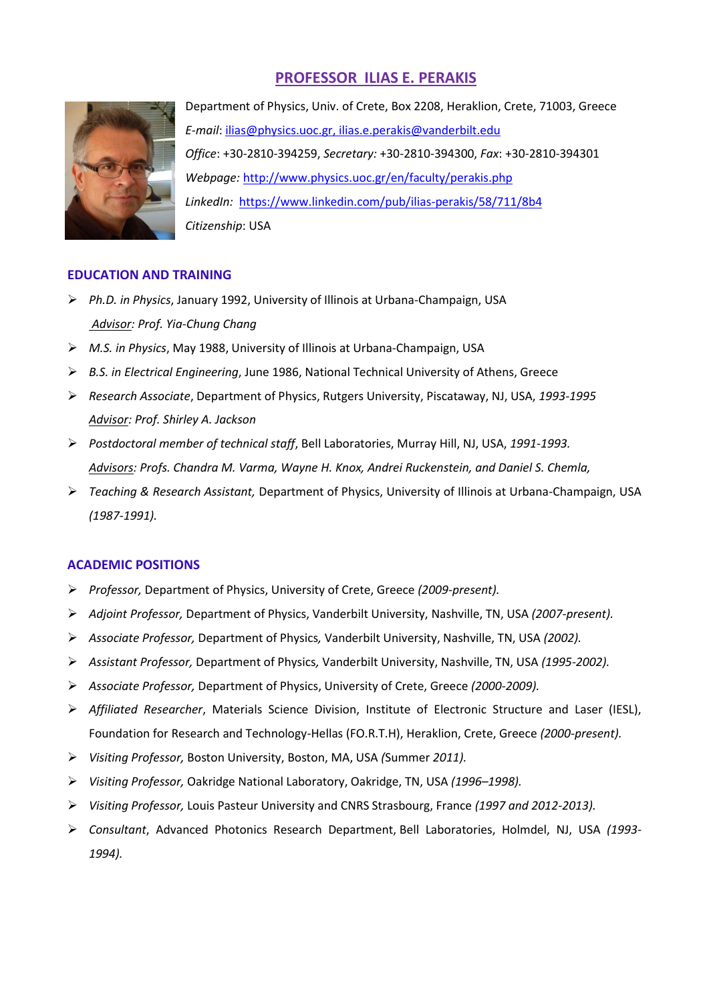# **PROFESSOR ILIAS E. PERAKIS**



Department of Physics, Univ. of Crete, Box 2208, Heraklion, Crete, 71003, Greece *E-mail*: [ilias@physics.uoc.gr,](mailto:ilias@physics.uoc.gr) [ilias.e.perakis@vanderbilt.edu](mailto:ilias.e.perakis@vanderbilt.edu)  *Office*: +30-2810-394259, *Secretary:* +30-2810-394300, *Fax*: +30-2810-394301 *Webpage:* <http://www.physics.uoc.gr/en/faculty/perakis.php> *LinkedIn:* <https://www.linkedin.com/pub/ilias-perakis/58/711/8b4> *Citizenship*: USA

## **EDUCATION AND TRAINING**

- *Ph.D. in Physics*, January 1992, University of Illinois at Urbana-Champaign, USA *Advisor: Prof. Yia-Chung Chang*
- *M.S. in Physics*, May 1988, University of Illinois at Urbana-Champaign, USA
- *B.S. in Electrical Engineering*, June 1986, National Technical University of Athens, Greece
- *Research Associate*, Department of Physics, Rutgers University, Piscataway, NJ, USA, *1993-1995 Advisor: Prof. Shirley A. Jackson*
- *Postdoctoral member of technical staff*, Bell Laboratories, Murray Hill, NJ, USA, *1991-1993. Advisors: Profs. Chandra M. Varma, Wayne H. Knox, Andrei Ruckenstein, and Daniel S. Chemla,*
- *Teaching & Research Assistant,* Department of Physics, University of Illinois at Urbana-Champaign, USA *(1987-1991).*

## **ACADEMIC POSITIONS**

- *Professor,* Department of Physics, University of Crete, Greece *(2009-present).*
- *Adjoint Professor,* Department of Physics, Vanderbilt University, Nashville, TN, USA *(2007-present).*
- *Associate Professor,* Department of Physics*,* Vanderbilt University, Nashville, TN, USA *(2002).*
- *Assistant Professor,* Department of Physics*,* Vanderbilt University, Nashville, TN, USA *(1995-2002).*
- *Associate Professor,* Department of Physics, University of Crete, Greece *(2000-2009).*
- *Affiliated Researcher*, Materials Science Division, Institute of Electronic Structure and Laser (IESL), Foundation for Research and Technology-Hellas (FO.R.T.H), Heraklion, Crete, Greece *(2000-present).*
- *Visiting Professor,* Boston University, Boston, MA, USA *(*Summer *2011).*
- *Visiting Professor,* Oakridge National Laboratory, Oakridge, TN, USA *(1996–1998).*
- *Visiting Professor,* Louis Pasteur University and CNRS Strasbourg, France *(1997 and 2012-2013).*
- *Consultant*, Advanced Photonics Research Department, Bell Laboratories, Holmdel, NJ, USA *(1993- 1994).*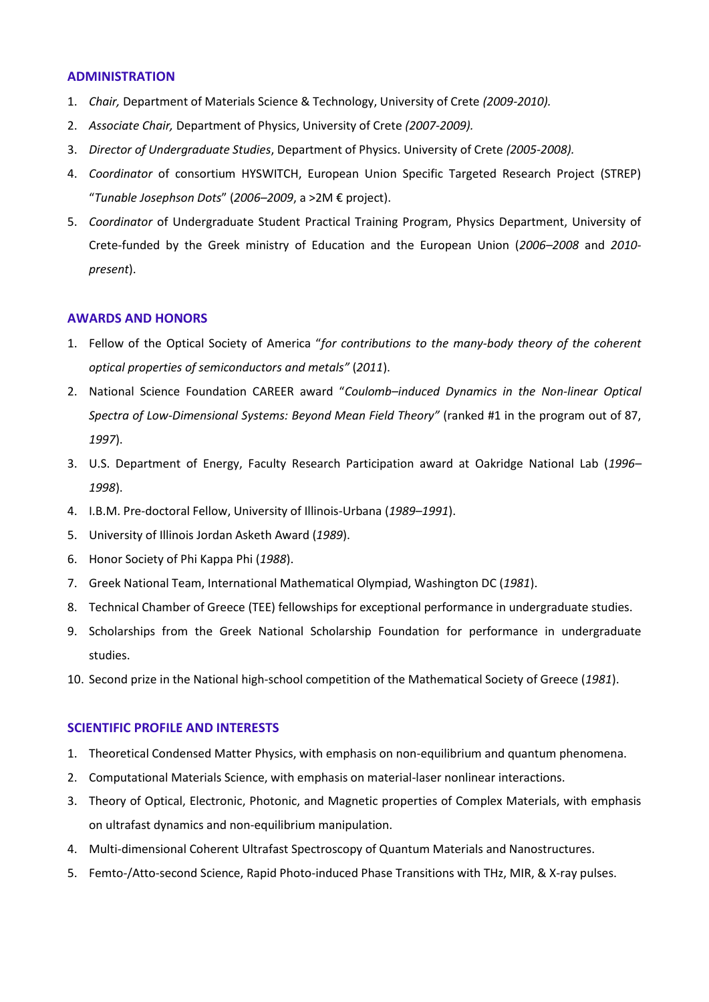## **ADMINISTRATION**

- 1. *Chair,* Department of Materials Science & Technology, University of Crete *(2009-2010).*
- 2. *Associate Chair,* Department of Physics, University of Crete *(2007-2009).*
- 3. *Director of Undergraduate Studies*, Department of Physics. University of Crete *(2005-2008).*
- 4. *Coordinator* of consortium HYSWITCH, European Union Specific Targeted Research Project (STREP) "*Tunable Josephson Dots*" (*2006–2009*, a >2M € project).
- 5. *Coordinator* of Undergraduate Student Practical Training Program, Physics Department, University of Crete-funded by the Greek ministry of Education and the European Union (*2006–2008* and *2010 present*).

## **AWARDS AND HONORS**

- 1. Fellow of the Optical Society of America "*for contributions to the many-body theory of the coherent optical properties of semiconductors and metals"* (*2011*).
- 2. National Science Foundation CAREER award "*Coulomb–induced Dynamics in the Non-linear Optical Spectra of Low-Dimensional Systems: Beyond Mean Field Theory"* (ranked #1 in the program out of 87, *1997*).
- 3. U.S. Department of Energy, Faculty Research Participation award at Oakridge National Lab (*1996– 1998*).
- 4. I.B.M. Pre-doctoral Fellow, University of Illinois-Urbana (*1989–1991*).
- 5. University of Illinois Jordan Asketh Award (*1989*).
- 6. Honor Society of Phi Kappa Phi (*1988*).
- 7. Greek National Team, International Mathematical Olympiad, Washington DC (*1981*).
- 8. Technical Chamber of Greece (TEE) fellowships for exceptional performance in undergraduate studies.
- 9. Scholarships from the Greek National Scholarship Foundation for performance in undergraduate studies.
- 10. Second prize in the National high-school competition of the Mathematical Society of Greece (*1981*).

#### **SCIENTIFIC PROFILE AND INTERESTS**

- 1. Theoretical Condensed Matter Physics, with emphasis on non-equilibrium and quantum phenomena.
- 2. Computational Materials Science, with emphasis on material-laser nonlinear interactions.
- 3. Theory of Optical, Electronic, Photonic, and Magnetic properties of Complex Materials, with emphasis on ultrafast dynamics and non-equilibrium manipulation.
- 4. Multi-dimensional Coherent Ultrafast Spectroscopy of Quantum Materials and Nanostructures.
- 5. Femto-/Atto-second Science, Rapid Photo-induced Phase Transitions with THz, MIR, & X-ray pulses.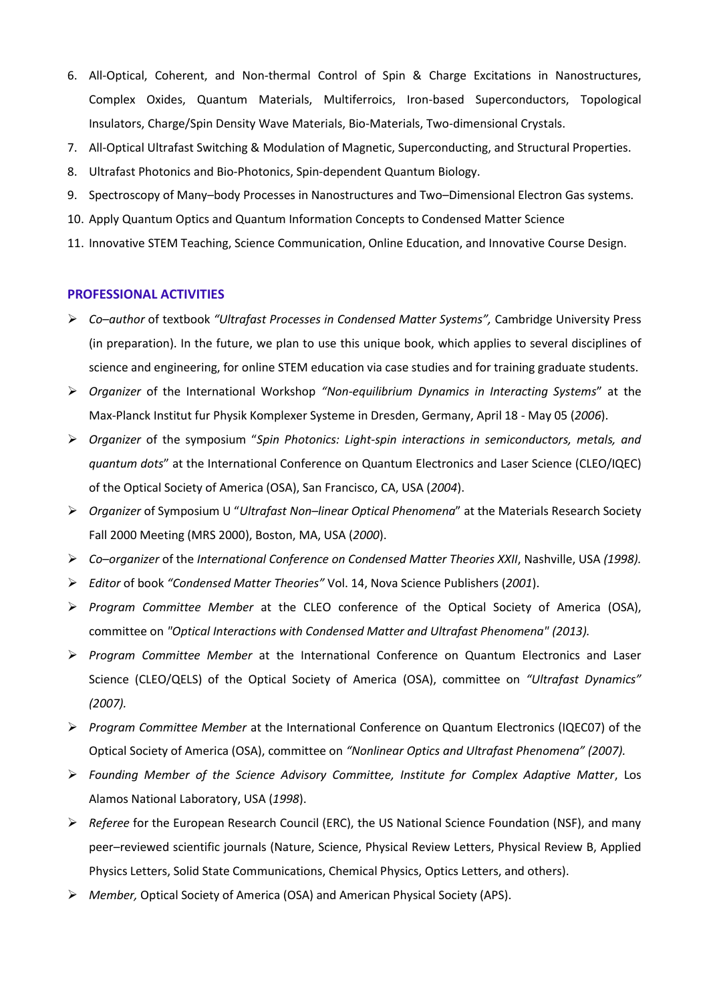- 6. All-Optical, Coherent, and Non-thermal Control of Spin & Charge Excitations in Nanostructures, Complex Oxides, Quantum Materials, Multiferroics, Iron-based Superconductors, Topological Insulators, Charge/Spin Density Wave Materials, Bio-Materials, Two-dimensional Crystals.
- 7. All-Optical Ultrafast Switching & Modulation of Magnetic, Superconducting, and Structural Properties.
- 8. Ultrafast Photonics and Bio-Photonics, Spin-dependent Quantum Biology.
- 9. Spectroscopy of Many–body Processes in Nanostructures and Two–Dimensional Electron Gas systems.
- 10. Apply Quantum Optics and Quantum Information Concepts to Condensed Matter Science
- 11. Innovative STEM Teaching, Science Communication, Online Education, and Innovative Course Design.

## **PROFESSIONAL ACTIVITIES**

- *Co–author* of textbook *"Ultrafast Processes in Condensed Matter Systems",* Cambridge University Press (in preparation). In the future, we plan to use this unique book, which applies to several disciplines of science and engineering, for online STEM education via case studies and for training graduate students.
- *Organizer* of the International Workshop *"Non-equilibrium Dynamics in Interacting Systems*" at the Max-Planck Institut fur Physik Komplexer Systeme in Dresden, Germany, April 18 - May 05 (*2006*).
- *Organizer* of the symposium "*Spin Photonics: Light-spin interactions in semiconductors, metals, and quantum dots*" at the International Conference on Quantum Electronics and Laser Science (CLEO/IQEC) of the Optical Society of America (OSA), San Francisco, CA, USA (*2004*).
- *Organizer* of Symposium U "*Ultrafast Non–linear Optical Phenomena*" at the Materials Research Society Fall 2000 Meeting (MRS 2000), Boston, MA, USA (*2000*).
- *Co–organizer* of the *International Conference on Condensed Matter Theories XXII*, Nashville, USA *(1998).*
- *Editor* of book *"Condensed Matter Theories"* Vol. 14, Nova Science Publishers (*2001*).
- *Program Committee Member* at the CLEO conference of the Optical Society of America (OSA), committee on *"Optical Interactions with Condensed Matter and Ultrafast Phenomena" (2013).*
- *Program Committee Member* at the International Conference on Quantum Electronics and Laser Science (CLEO/QELS) of the Optical Society of America (OSA), committee on *"Ultrafast Dynamics" (2007).*
- *Program Committee Member* at the International Conference on Quantum Electronics (IQEC07) of the Optical Society of America (OSA), committee on *"Nonlinear Optics and Ultrafast Phenomena" (2007).*
- *Founding Member of the Science Advisory Committee, Institute for Complex Adaptive Matter*, Los Alamos National Laboratory, USA (*1998*).
- *Referee* for the European Research Council (ERC), the US National Science Foundation (NSF), and many peer–reviewed scientific journals (Nature, Science, Physical Review Letters, Physical Review B, Applied Physics Letters, Solid State Communications, Chemical Physics, Optics Letters, and others).
- *Member,* Optical Society of America (OSA) and American Physical Society (APS).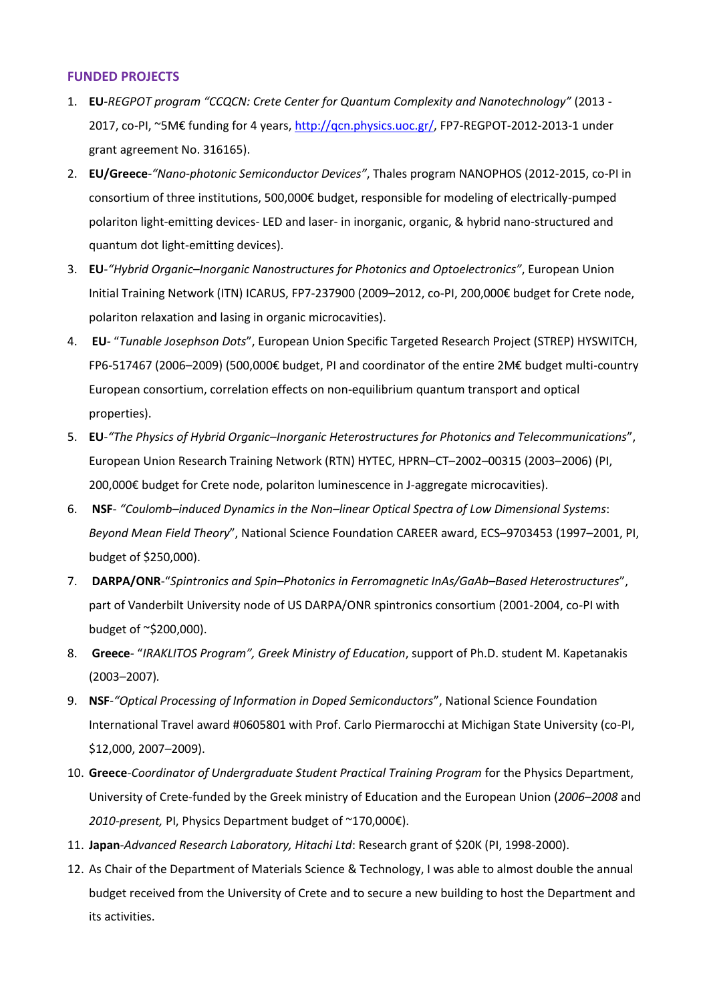## **FUNDED PROJECTS**

- 1. **EU***-REGPOT program "CCQCN: Crete Center for Quantum Complexity and Nanotechnology"* (2013 2017, co-PI, ~5M€ funding for 4 years, [http://qcn.physics.uoc.gr/,](http://qcn.physics.uoc.gr/) FP7-REGPOT-2012-2013-1 under grant agreement No. 316165).
- 2. **EU/Greece***-"Nano-photonic Semiconductor Devices"*, Thales program NANOPHOS (2012-2015, co-PI in consortium of three institutions, 500,000€ budget, responsible for modeling of electrically-pumped polariton light-emitting devices- LED and laser- in inorganic, organic, & hybrid nano-structured and quantum dot light-emitting devices).
- 3. **EU***-"Hybrid Organic–Inorganic Nanostructures for Photonics and Optoelectronics"*, European Union Initial Training Network (ITN) ICARUS, FP7-237900 (2009–2012, co-PI, 200,000€ budget for Crete node, polariton relaxation and lasing in organic microcavities).
- 4. **EU***-* "*Tunable Josephson Dots*", European Union Specific Targeted Research Project (STREP) HYSWITCH, FP6-517467 (2006–2009) (500,000€ budget, PI and coordinator of the entire 2M€ budget multi-country European consortium, correlation effects on non-equilibrium quantum transport and optical properties).
- 5. **EU***-"The Physics of Hybrid Organic–Inorganic Heterostructures for Photonics and Telecommunications*", European Union Research Training Network (RTN) HYTEC, HPRN–CT–2002–00315 (2003–2006) (PI, 200,000€ budget for Crete node, polariton luminescence in J-aggregate microcavities).
- 6. **NSF***- "Coulomb–induced Dynamics in the Non–linear Optical Spectra of Low Dimensional Systems*: *Beyond Mean Field Theory*", National Science Foundation CAREER award, ECS–9703453 (1997–2001, PI, budget of \$250,000).
- 7. **DARPA/ONR**-"*Spintronics and Spin–Photonics in Ferromagnetic InAs/GaAb–Based Heterostructures*", part of Vanderbilt University node of US DARPA/ONR spintronics consortium (2001-2004, co-PI with budget of ~\$200,000).
- 8. **Greece***-* "*IRAKLITOS Program", Greek Ministry of Education*, support of Ph.D. student M. Kapetanakis (2003–2007)*.*
- 9. **NSF***-"Optical Processing of Information in Doped Semiconductors*", National Science Foundation International Travel award #0605801 with Prof. Carlo Piermarocchi at Michigan State University (co-PI, \$12,000, 2007–2009).
- 10. **Greece***-Coordinator of Undergraduate Student Practical Training Program* for the Physics Department, University of Crete-funded by the Greek ministry of Education and the European Union (*2006–2008* and *2010-present,* PI, Physics Department budget of ~170,000€).
- 11. **Japan***-Advanced Research Laboratory, Hitachi Ltd*: Research grant of \$20K (PI, 1998-2000).
- 12. As Chair of the Department of Materials Science & Technology, I was able to almost double the annual budget received from the University of Crete and to secure a new building to host the Department and its activities.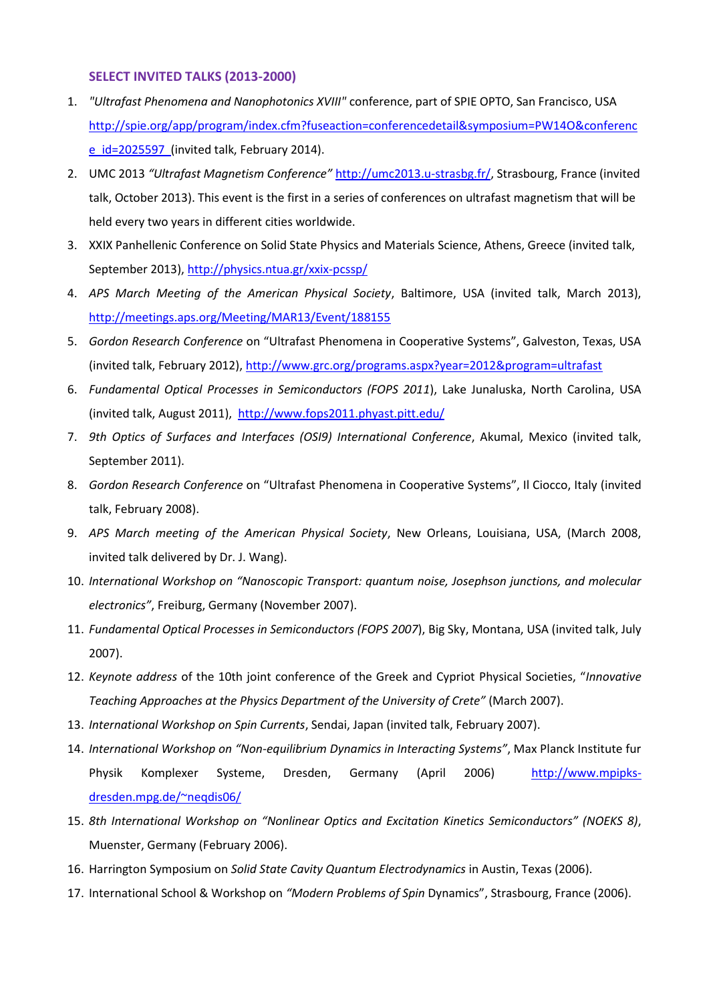## **SELECT INVITED TALKS (2013-2000)**

- 1. *"Ultrafast Phenomena and Nanophotonics XVIII"* conference, part of SPIE OPTO, San Francisco, USA [http://spie.org/app/program/index.cfm?fuseaction=conferencedetail&symposium=PW14O&conferenc](http://spie.org/app/program/index.cfm?fuseaction=conferencedetail&symposium=PW14O&conference_id=2025597) [e\\_id=2025597](http://spie.org/app/program/index.cfm?fuseaction=conferencedetail&symposium=PW14O&conference_id=2025597) (invited talk, February 2014).
- 2. UMC 2013 *"Ultrafast Magnetism Conference"* [http://umc2013.u-strasbg.fr/,](http://umc2013.u-strasbg.fr/) Strasbourg, France (invited talk, October 2013). This event is the first in a series of conferences on ultrafast magnetism that will be held every two years in different cities worldwide.
- 3. XXIX Panhellenic Conference on Solid State Physics and Materials Science, Athens, Greece (invited talk, September 2013),<http://physics.ntua.gr/xxix-pcssp/>
- 4. *APS March Meeting of the American Physical Society*, Baltimore, USA (invited talk, March 2013), <http://meetings.aps.org/Meeting/MAR13/Event/188155>
- 5. *Gordon Research Conference* on "Ultrafast Phenomena in Cooperative Systems", Galveston, Texas, USA (invited talk, February 2012),<http://www.grc.org/programs.aspx?year=2012&program=ultrafast>
- 6. *Fundamental Optical Processes in Semiconductors (FOPS 2011*), Lake Junaluska, North Carolina, USA (invited talk, August 2011), <http://www.fops2011.phyast.pitt.edu/>
- 7. *9th Optics of Surfaces and Interfaces (OSI9) International Conference*, Akumal, Mexico (invited talk, September 2011).
- 8. *Gordon Research Conference* on "Ultrafast Phenomena in Cooperative Systems", Il Ciocco, Italy (invited talk, February 2008).
- 9. *APS March meeting of the American Physical Society*, New Orleans, Louisiana, USA, (March 2008, invited talk delivered by Dr. J. Wang).
- 10. *International Workshop on "Nanoscopic Transport: quantum noise, Josephson junctions, and molecular electronics"*, Freiburg, Germany (November 2007).
- 11. *Fundamental Optical Processes in Semiconductors (FOPS 2007*), Big Sky, Montana, USA (invited talk, July 2007).
- 12. *Keynote address* of the 10th joint conference of the Greek and Cypriot Physical Societies, "*Innovative Teaching Approaches at the Physics Department of the University of Crete"* (March 2007).
- 13. *International Workshop on Spin Currents*, Sendai, Japan (invited talk, February 2007).
- 14. *International Workshop on "Non-equilibrium Dynamics in Interacting Systems"*, Max Planck Institute fur Physik Komplexer Systeme, Dresden, Germany (April 2006) [http://www.mpipks](http://www.mpipks-dresden.mpg.de/~neqdis06/)[dresden.mpg.de/~neqdis06/](http://www.mpipks-dresden.mpg.de/~neqdis06/)
- 15. *8th International Workshop on "Nonlinear Optics and Excitation Kinetics Semiconductors" (NOEKS 8)*, Muenster, Germany (February 2006).
- 16. Harrington Symposium on *Solid State Cavity Quantum Electrodynamics* in Austin, Texas (2006).
- 17. International School & Workshop on *"Modern Problems of Spin* Dynamics", Strasbourg, France (2006).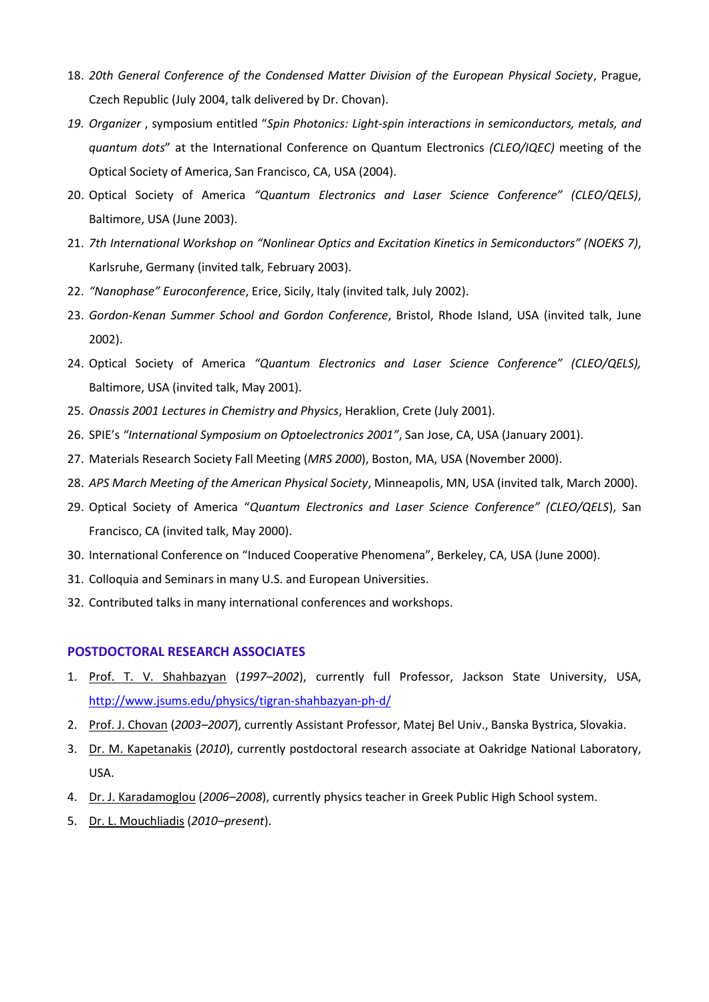- 18. *20th General Conference of the Condensed Matter Division of the European Physical Society*, Prague, Czech Republic (July 2004, talk delivered by Dr. Chovan).
- *19. Organizer* , symposium entitled "*Spin Photonics: Light-spin interactions in semiconductors, metals, and quantum dots*" at the International Conference on Quantum Electronics *(CLEO/IQEC)* meeting of the Optical Society of America, San Francisco, CA, USA (2004).
- 20. Optical Society of America *"Quantum Electronics and Laser Science Conference" (CLEO/QELS)*, Baltimore, USA (June 2003).
- 21. *7th International Workshop on "Nonlinear Optics and Excitation Kinetics in Semiconductors" (NOEKS 7)*, Karlsruhe, Germany (invited talk, February 2003).
- 22. *"Nanophase" Euroconference*, Erice, Sicily, Italy (invited talk, July 2002).
- 23. *Gordon-Kenan Summer School and Gordon Conference*, Bristol, Rhode Island, USA (invited talk, June 2002).
- 24. Optical Society of America *"Quantum Electronics and Laser Science Conference" (CLEO/QELS),* Baltimore, USA (invited talk, May 2001).
- 25. *Onassis 2001 Lectures in Chemistry and Physics*, Heraklion, Crete (July 2001).
- 26. SPIE's *"International Symposium on Optoelectronics 2001"*, San Jose, CA, USA (January 2001).
- 27. Materials Research Society Fall Meeting (*MRS 2000*), Boston, MA, USA (November 2000).
- 28. *APS March Meeting of the American Physical Society*, Minneapolis, MN, USA (invited talk, March 2000).
- 29. Optical Society of America "*Quantum Electronics and Laser Science Conference" (CLEO/QELS*), San Francisco, CA (invited talk, May 2000).
- 30. International Conference on "Induced Cooperative Phenomena", Berkeley, CA, USA (June 2000).
- 31. Colloquia and Seminars in many U.S. and European Universities.
- 32. Contributed talks in many international conferences and workshops.

#### **POSTDOCTORAL RESEARCH ASSOCIATES**

- 1. Prof. T. V. Shahbazyan (*1997–2002*), currently full Professor, Jackson State University, USA, <http://www.jsums.edu/physics/tigran-shahbazyan-ph-d/>
- 2. Prof. J. Chovan (*2003–2007*), currently Assistant Professor, Matej Bel Univ., Banska Bystrica, Slovakia.
- 3. Dr. M. Kapetanakis (*2010*), currently postdoctoral research associate at Oakridge National Laboratory, USA.
- 4. Dr. J. Karadamoglou (*2006–2008*), currently physics teacher in Greek Public High School system.
- 5. Dr. L. Mouchliadis (*2010–present*).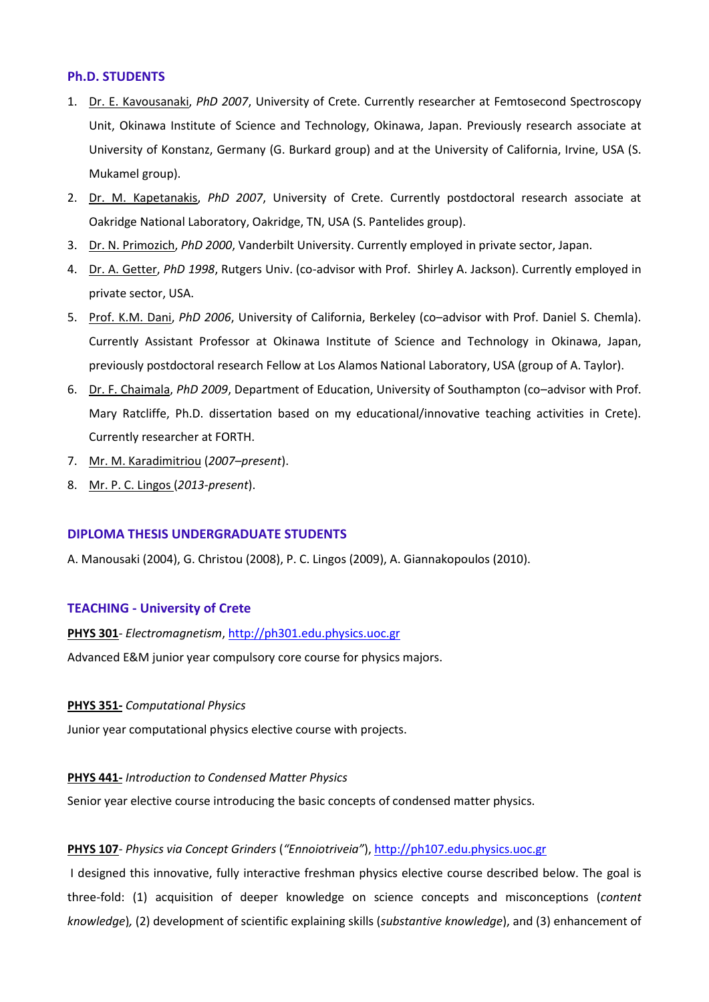### **Ph.D. STUDENTS**

- 1. Dr. E. Kavousanaki, *PhD 2007*, University of Crete. Currently researcher at Femtosecond Spectroscopy Unit, Okinawa Institute of Science and Technology, Okinawa, Japan. Previously research associate at University of Konstanz, Germany (G. Burkard group) and at the University of California, Irvine, USA (S. Mukamel group).
- 2. Dr. M. Kapetanakis, *PhD 2007*, University of Crete. Currently postdoctoral research associate at Oakridge National Laboratory, Oakridge, TN, USA (S. Pantelides group).
- 3. Dr. N. Primozich, *PhD 2000*, Vanderbilt University. Currently employed in private sector, Japan.
- 4. Dr. A. Getter, *PhD 1998*, Rutgers Univ. (co-advisor with Prof. Shirley A. Jackson). Currently employed in private sector, USA.
- 5. Prof. K.M. Dani, *PhD 2006*, University of California, Berkeley (co–advisor with Prof. Daniel S. Chemla). Currently Assistant Professor at Okinawa Institute of Science and Technology in Okinawa, Japan, previously postdoctoral research Fellow at Los Alamos National Laboratory, USA (group of A. Taylor).
- 6. Dr. F. Chaimala, *PhD 2009*, Department of Education, University of Southampton (co–advisor with Prof. Mary Ratcliffe, Ph.D. dissertation based on my educational/innovative teaching activities in Crete). Currently researcher at FORTH.
- 7. Mr. M. Karadimitriou (*2007–present*).
- 8. Mr. P. C. Lingos (*2013-present*).

#### **DIPLOMA THESIS UNDERGRADUATE STUDENTS**

A. Manousaki (2004), G. Christou (2008), P. C. Lingos (2009), A. Giannakopoulos (2010).

## **TEACHING - University of Crete**

**PHYS 301***- Electromagnetism*[, http://ph301.edu.physics.uoc.gr](http://ph301.edu.physics.uoc.gr/) 

Advanced E&M junior year compulsory core course for physics majors.

#### **PHYS 351-** *Computational Physics*

Junior year computational physics elective course with projects.

#### **PHYS 441-** *Introduction to Condensed Matter Physics*

Senior year elective course introducing the basic concepts of condensed matter physics.

#### **PHYS 107***- Physics via Concept Grinders* (*"Ennoiotriveia"*)[, http://ph107.edu.physics.uoc.gr](http://ph107.edu.physics.uoc.gr/)

I designed this innovative, fully interactive freshman physics elective course described below. The goal is three-fold: (1) acquisition of deeper knowledge on science concepts and misconceptions (*content knowledge*)*,* (2) development of scientific explaining skills (*substantive knowledge*), and (3) enhancement of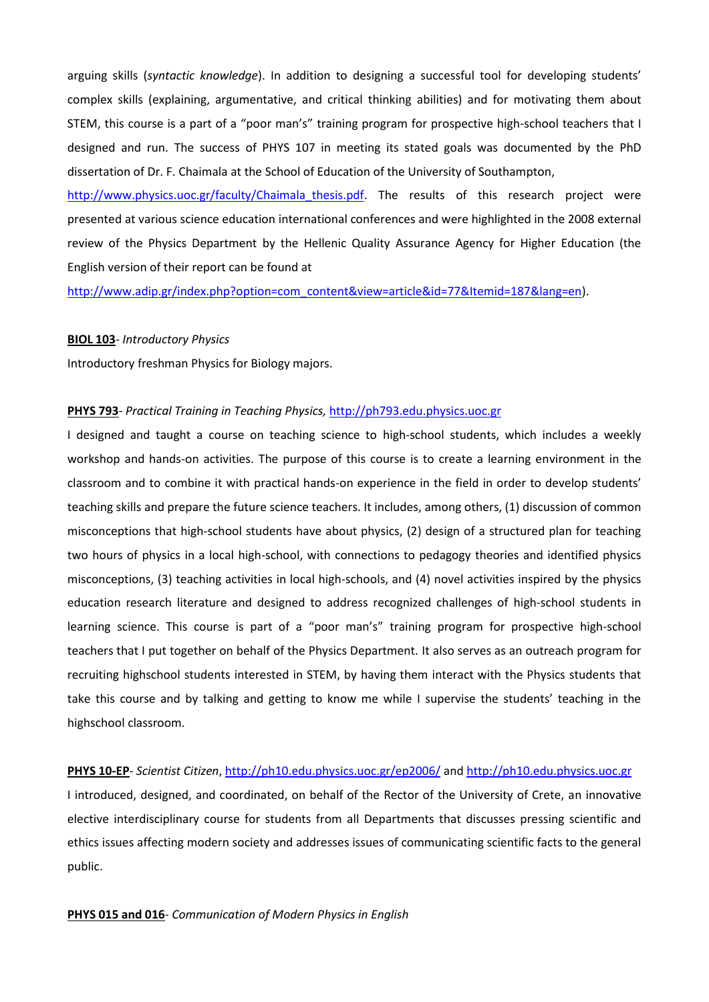arguing skills (*syntactic knowledge*). In addition to designing a successful tool for developing students' complex skills (explaining, argumentative, and critical thinking abilities) and for motivating them about STEM, this course is a part of a "poor man's" training program for prospective high-school teachers that I designed and run. The success of PHYS 107 in meeting its stated goals was documented by the PhD dissertation of Dr. F. Chaimala at the School of Education of the University of Southampton,

http://www.physics.uoc.gr/faculty/Chaimala thesis.pdf. The results of this research project were presented at various science education international conferences and were highlighted in the 2008 external review of the Physics Department by the Hellenic Quality Assurance Agency for Higher Education (the English version of their report can be found at

[http://www.adip.gr/index.php?option=com\\_content&view=article&id=77&Itemid=187&lang=en\)](http://www.adip.gr/index.php?option=com_content&view=article&id=77&Itemid=187&lang=en).

#### **BIOL 103***- Introductory Physics*

Introductory freshman Physics for Biology majors.

## **PHYS 793***- Practical Training in Teaching Physics,* [http://ph793.edu.physics.uoc.gr](http://ph793.edu.physics.uoc.gr/)

I designed and taught a course on teaching science to high-school students, which includes a weekly workshop and hands-on activities. The purpose of this course is to create a learning environment in the classroom and to combine it with practical hands-on experience in the field in order to develop students' teaching skills and prepare the future science teachers. It includes, among others, (1) discussion of common misconceptions that high-school students have about physics, (2) design of a structured plan for teaching two hours of physics in a local high-school, with connections to pedagogy theories and identified physics misconceptions, (3) teaching activities in local high-schools, and (4) novel activities inspired by the physics education research literature and designed to address recognized challenges of high-school students in learning science. This course is part of a "poor man's" training program for prospective high-school teachers that I put together on behalf of the Physics Department. It also serves as an outreach program for recruiting highschool students interested in STEM, by having them interact with the Physics students that take this course and by talking and getting to know me while I supervise the students' teaching in the highschool classroom.

## **PHYS 10-EP***- Scientist Citizen*,<http://ph10.edu.physics.uoc.gr/ep2006/> an[d http://ph10.edu.physics.uoc.gr](http://ph10.edu.physics.uoc.gr/)

I introduced, designed, and coordinated, on behalf of the Rector of the University of Crete, an innovative elective interdisciplinary course for students from all Departments that discusses pressing scientific and ethics issues affecting modern society and addresses issues of communicating scientific facts to the general public.

#### **PHYS 015 and 016***- Communication of Modern Physics in English*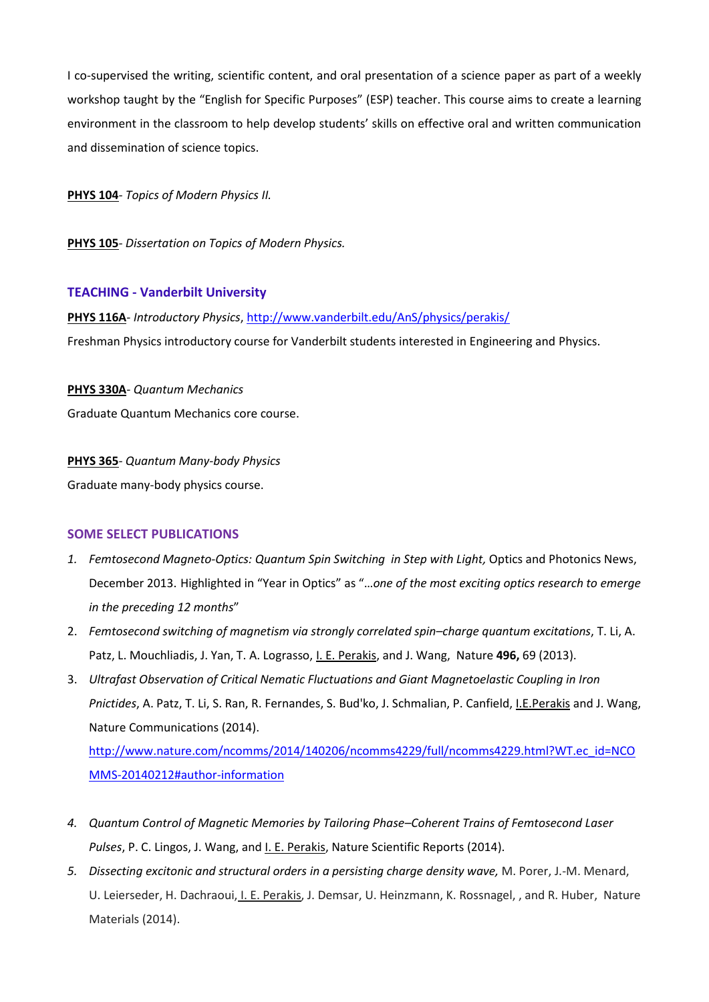I co-supervised the writing, scientific content, and oral presentation of a science paper as part of a weekly workshop taught by the "English for Specific Purposes" (ESP) teacher. This course aims to create a learning environment in the classroom to help develop students' skills on effective oral and written communication and dissemination of science topics.

**PHYS 104***- Topics of Modern Physics II.*

**PHYS 105***- Dissertation on Topics of Modern Physics.* 

### **TEACHING - Vanderbilt University**

**PHYS 116A***- Introductory Physics*,<http://www.vanderbilt.edu/AnS/physics/perakis/> Freshman Physics introductory course for Vanderbilt students interested in Engineering and Physics.

### **PHYS 330A***- Quantum Mechanics*

Graduate Quantum Mechanics core course.

## **PHYS 365***- Quantum Many-body Physics*

Graduate many-body physics course.

## **SOME SELECT PUBLICATIONS**

- 1. Femtosecond Magneto-Optics: Quantum Spin Switching in Step with Light, Optics and Photonics News, December 2013. Highlighted in "Year in Optics" as "…*one of the most exciting optics research to emerge in the preceding 12 months*"
- 2. *Femtosecond switching of magnetism via strongly correlated spin–charge quantum excitations*, T. Li, A. Patz, L. Mouchliadis, J. Yan, T. A. Lograsso, I. E. Perakis, and J. Wang, Nature **496,** 69 (2013).
- 3. *Ultrafast Observation of Critical Nematic Fluctuations and Giant Magnetoelastic Coupling in Iron Pnictides*, A. Patz, T. Li, S. Ran, R. Fernandes, S. Bud'ko, J. Schmalian, P. Canfield, I.E.Perakis and J. Wang, Nature Communications (2014).

[http://www.nature.com/ncomms/2014/140206/ncomms4229/full/ncomms4229.html?WT.ec\\_id=NCO](http://www.nature.com/ncomms/2014/140206/ncomms4229/full/ncomms4229.html?WT.ec_id=NCOMMS-20140212#author-information) [MMS-20140212#author-information](http://www.nature.com/ncomms/2014/140206/ncomms4229/full/ncomms4229.html?WT.ec_id=NCOMMS-20140212#author-information)

- *4. Quantum Control of Magnetic Memories by Tailoring Phase–Coherent Trains of Femtosecond Laser Pulses*, P. C. Lingos, J. Wang, and I. E. Perakis, Nature Scientific Reports (2014).
- *5. Dissecting excitonic and structural orders in a persisting charge density wave,* M. Porer, J.-M. Menard, U. Leierseder, H. Dachraoui, I. E. Perakis, J. Demsar, U. Heinzmann, K. Rossnagel, , and R. Huber, Nature Materials (2014).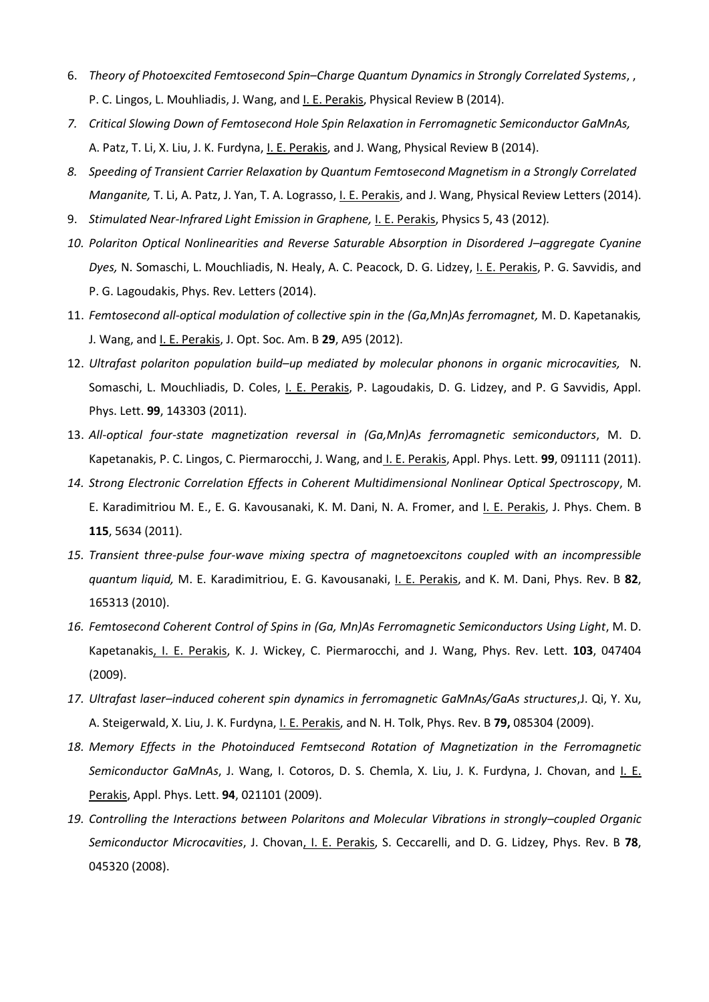- 6. *Theory of Photoexcited Femtosecond Spin–Charge Quantum Dynamics in Strongly Correlated Systems*, , P. C. Lingos, L. Mouhliadis, J. Wang, and I. E. Perakis, Physical Review B (2014).
- *7. Critical Slowing Down of Femtosecond Hole Spin Relaxation in Ferromagnetic Semiconductor GaMnAs,* A. Patz, T. Li, X. Liu, J. K. Furdyna, <u>I. E. Perakis</u>, and J. Wang, Physical Review B (2014).
- *8. Speeding of Transient Carrier Relaxation by Quantum Femtosecond Magnetism in a Strongly Correlated Manganite,* T. Li, A. Patz, J. Yan, T. A. Lograsso, I. E. Perakis, and J. Wang, Physical Review Letters (2014).
- 9. *Stimulated Near-Infrared Light Emission in Graphene,* I. E. Perakis, Physics 5, 43 (2012)*.*
- *10. Polariton Optical Nonlinearities and Reverse Saturable Absorption in Disordered J–aggregate Cyanine Dyes,* N. Somaschi, L. Mouchliadis, N. Healy, A. C. Peacock, D. G. Lidzey, I. E. Perakis, P. G. Savvidis, and P. G. Lagoudakis, Phys. Rev. Letters (2014).
- 11. *Femtosecond all-optical modulation of collective spin in the (Ga,Mn)As ferromagnet,* M. D. Kapetanakis*,*  J. Wang, and I. E. Perakis, J. Opt. Soc. Am. B **29**, A95 (2012).
- 12. *Ultrafast polariton population build–up mediated by molecular phonons in organic microcavities,* N. Somaschi, L. Mouchliadis, D. Coles, I. E. Perakis, P. Lagoudakis, D. G. Lidzey, and P. G Savvidis, Appl. Phys. Lett. **99**, 143303 (2011).
- 13. *All-optical four-state magnetization reversal in (Ga,Mn)As ferromagnetic semiconductors*, M. D. Kapetanakis, P. C. Lingos, C. Piermarocchi, J. Wang, and I. E. Perakis, Appl. Phys. Lett. **99**, 091111 (2011).
- *14. Strong Electronic Correlation Effects in Coherent Multidimensional Nonlinear Optical Spectroscopy*, M. E. Karadimitriou M. E., E. G. Kavousanaki, K. M. Dani, N. A. Fromer, and I. E. Perakis, J. Phys. Chem. B **115**, 5634 (2011).
- *15. Transient three-pulse four-wave mixing spectra of magnetoexcitons coupled with an incompressible quantum liquid,* M. E. Karadimitriou, E. G. Kavousanaki, I. E. Perakis, and K. M. Dani, Phys. Rev. B **82**, 165313 (2010).
- *16. Femtosecond Coherent Control of Spins in (Ga, Mn)As Ferromagnetic Semiconductors Using Light*, M. D. Kapetanakis, I. E. Perakis, K. J. Wickey, C. Piermarocchi, and J. Wang, Phys. Rev. Lett. **103**, 047404 (2009).
- *17. Ultrafast laser–induced coherent spin dynamics in ferromagnetic GaMnAs/GaAs structures*,J. Qi, Y. Xu, A. Steigerwald, X. Liu, J. K. Furdyna, I. E. Perakis, and N. H. Tolk, Phys. Rev. B **79,** 085304 (2009).
- *18. Memory Effects in the Photoinduced Femtsecond Rotation of Magnetization in the Ferromagnetic Semiconductor GaMnAs*, J. Wang, I. Cotoros, D. S. Chemla, X. Liu, J. K. Furdyna, J. Chovan, and I. E. Perakis, Appl. Phys. Lett. **94**, 021101 (2009).
- *19. Controlling the Interactions between Polaritons and Molecular Vibrations in strongly–coupled Organic Semiconductor Microcavities*, J. Chovan, I. E. Perakis, S. Ceccarelli, and D. G. Lidzey, Phys. Rev. B **78**, 045320 (2008).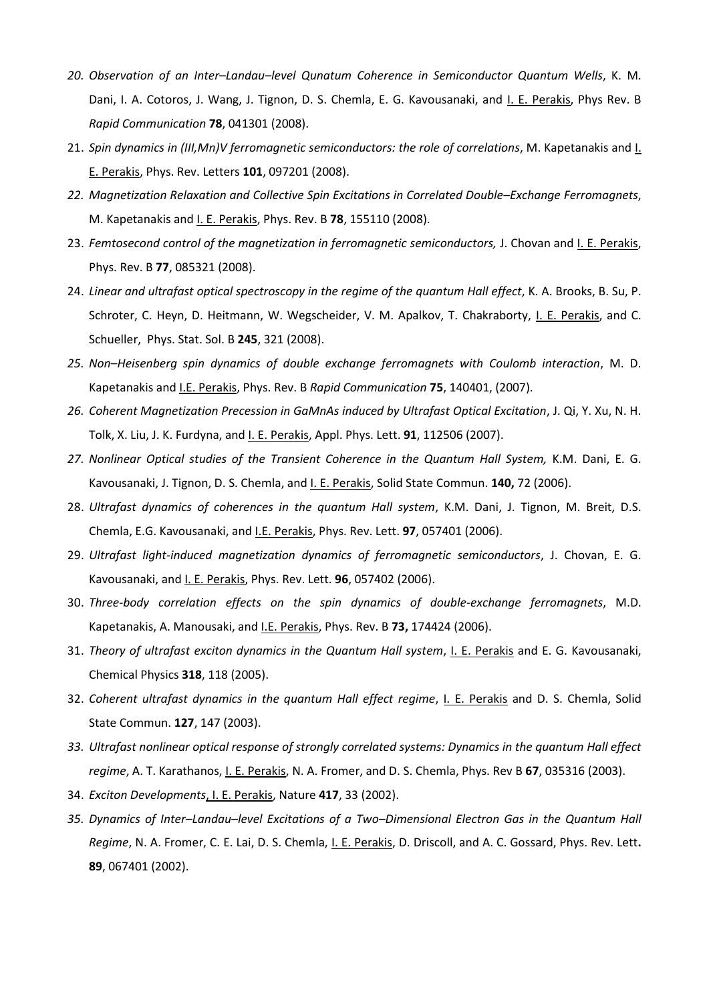- *20. Observation of an Inter–Landau–level Qunatum Coherence in Semiconductor Quantum Wells*, K. M. Dani, I. A. Cotoros, J. Wang, J. Tignon, D. S. Chemla, E. G. Kavousanaki, and I. E. Perakis, Phys Rev. B *Rapid Communication* **78**, 041301 (2008).
- 21. *Spin dynamics in (III,Mn)V ferromagnetic semiconductors: the role of correlations*, M. Kapetanakis and I. E. Perakis, Phys. Rev. Letters **101**, 097201 (2008).
- *22. Magnetization Relaxation and Collective Spin Excitations in Correlated Double–Exchange Ferromagnets*, M. Kapetanakis and I. E. Perakis, Phys. Rev. B **78**, 155110 (2008).
- 23. *Femtosecond control of the magnetization in ferromagnetic semiconductors,* J. Chovan and I. E. Perakis, Phys. Rev. B **77**, 085321 (2008).
- 24. *Linear and ultrafast optical spectroscopy in the regime of the quantum Hall effect*, K. A. Brooks, B. Su, P. Schroter, C. Heyn, D. Heitmann, W. Wegscheider, V. M. Apalkov, T. Chakraborty, I. E. Perakis, and C. Schueller, Phys. Stat. Sol. B **245**, 321 (2008).
- *25. Non–Heisenberg spin dynamics of double exchange ferromagnets with Coulomb interaction*, M. D. Kapetanakis and I.E. Perakis, Phys. Rev. B *Rapid Communication* **75**, 140401, (2007).
- *26. Coherent Magnetization Precession in GaMnAs induced by Ultrafast Optical Excitation*, J. Qi, Y. Xu, N. H. Tolk, X. Liu, J. K. Furdyna, and I. E. Perakis, Appl. Phys. Lett. **91**, 112506 (2007).
- 27. Nonlinear Optical studies of the Transient Coherence in the Quantum Hall System, K.M. Dani, E. G. Kavousanaki, J. Tignon, D. S. Chemla, and I. E. Perakis, Solid State Commun. **140,** 72 (2006).
- 28. *Ultrafast dynamics of coherences in the quantum Hall system*, K.M. Dani, J. Tignon, M. Breit, D.S. Chemla, E.G. Kavousanaki, and I.E. Perakis, Phys. Rev. Lett. **97**, 057401 (2006).
- 29. *Ultrafast light-induced magnetization dynamics of ferromagnetic semiconductors*, J. Chovan, E. G. Kavousanaki, and I. E. Perakis, Phys. Rev. Lett. **96**, 057402 (2006).
- 30. *Three-body correlation effects on the spin dynamics of double-exchange ferromagnets*, M.D. Kapetanakis, A. Manousaki, and I.E. Perakis, Phys. Rev. B **73,** 174424 (2006).
- 31. *Theory of ultrafast exciton dynamics in the Quantum Hall system*, I. E. Perakis and E. G. Kavousanaki, Chemical Physics **318**, 118 (2005).
- 32. *Coherent ultrafast dynamics in the quantum Hall effect regime*, I. E. Perakis and D. S. Chemla, Solid State Commun. **127**, 147 (2003).
- *33. Ultrafast nonlinear optical response of strongly correlated systems: Dynamics in the quantum Hall effect regime*, A. T. Karathanos, I. E. Perakis, N. A. Fromer, and D. S. Chemla, Phys. Rev B **67**, 035316 (2003).
- 34. *Exciton Developments*, I. E. Perakis, Nature **417**, 33 (2002).
- *35. Dynamics of Inter–Landau–level Excitations of a Two–Dimensional Electron Gas in the Quantum Hall Regime*, N. A. Fromer, C. E. Lai, D. S. Chemla, I. E. Perakis, D. Driscoll, and A. C. Gossard, Phys. Rev. Lett**. 89**, 067401 (2002).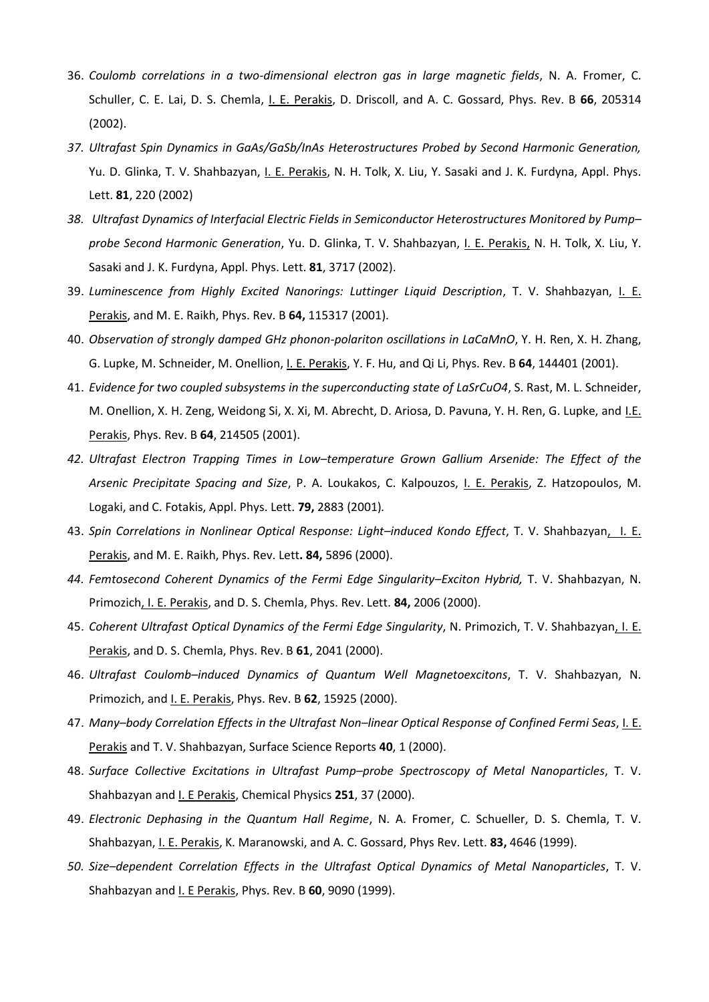- 36. *Coulomb correlations in a two-dimensional electron gas in large magnetic fields*, N. A. Fromer, C. Schuller, C. E. Lai, D. S. Chemla, I. E. Perakis, D. Driscoll, and A. C. Gossard, Phys. Rev. B **66**, 205314 (2002).
- *37. Ultrafast Spin Dynamics in GaAs/GaSb/InAs Heterostructures Probed by Second Harmonic Generation,* Yu. D. Glinka, T. V. Shahbazyan, I. E. Perakis, N. H. Tolk, X. Liu, Y. Sasaki and J. K. Furdyna, Appl. Phys. Lett. **81**, 220 (2002)
- *38. Ultrafast Dynamics of Interfacial Electric Fields in Semiconductor Heterostructures Monitored by Pump– probe Second Harmonic Generation*, Yu. D. Glinka, T. V. Shahbazyan, I. E. Perakis, N. H. Tolk, X. Liu, Y. Sasaki and J. K. Furdyna, Appl. Phys. Lett. **81**, 3717 (2002).
- 39. *Luminescence from Highly Excited Nanorings: Luttinger Liquid Description*, T. V. Shahbazyan, I. E. Perakis, and M. E. Raikh, Phys. Rev. B **64,** 115317 (2001).
- 40. *Observation of strongly damped GHz phonon-polariton oscillations in LaCaMnO*, Y. H. Ren, X. H. Zhang, G. Lupke, M. Schneider, M. Onellion, I. E. Perakis, Y. F. Hu, and Qi Li, Phys. Rev. B **64**, 144401 (2001).
- 41. *Evidence for two coupled subsystems in the superconducting state of LaSrCuO4*, S. Rast, M. L. Schneider, M. Onellion, X. H. Zeng, Weidong Si, X. Xi, M. Abrecht, D. Ariosa, D. Pavuna, Y. H. Ren, G. Lupke, and I.E. Perakis, Phys. Rev. B **64**, 214505 (2001).
- *42. Ultrafast Electron Trapping Times in Low–temperature Grown Gallium Arsenide: The Effect of the Arsenic Precipitate Spacing and Size*, P. A. Loukakos, C. Kalpouzos, I. E. Perakis, Z. Hatzopoulos, M. Logaki, and C. Fotakis, Appl. Phys. Lett. **79,** 2883 (2001)*.*
- 43. *Spin Correlations in Nonlinear Optical Response: Light–induced Kondo Effect*, T. V. Shahbazyan, I. E. Perakis, and M. E. Raikh, Phys. Rev. Lett**. 84,** 5896 (2000).
- *44. Femtosecond Coherent Dynamics of the Fermi Edge Singularity–Exciton Hybrid,* T. V. Shahbazyan, N. Primozich, I. E. Perakis, and D. S. Chemla, Phys. Rev. Lett. **84,** 2006 (2000).
- 45. *Coherent Ultrafast Optical Dynamics of the Fermi Edge Singularity*, N. Primozich, T. V. Shahbazyan, I. E. Perakis, and D. S. Chemla, Phys. Rev. B **61**, 2041 (2000).
- 46. *Ultrafast Coulomb–induced Dynamics of Quantum Well Magnetoexcitons*, T. V. Shahbazyan, N. Primozich, and I. E. Perakis, Phys. Rev. B **62**, 15925 (2000).
- 47. *Many–body Correlation Effects in the Ultrafast Non–linear Optical Response of Confined Fermi Seas*, I. E. Perakis and T. V. Shahbazyan, Surface Science Reports **40**, 1 (2000).
- 48. *Surface Collective Excitations in Ultrafast Pump–probe Spectroscopy of Metal Nanoparticles*, T. V. Shahbazyan and I. E Perakis, Chemical Physics **251**, 37 (2000).
- 49. *Electronic Dephasing in the Quantum Hall Regime*, N. A. Fromer, C. Schueller, D. S. Chemla, T. V. Shahbazyan, I. E. Perakis, K. Maranowski, and A. C. Gossard, Phys Rev. Lett. **83,** 4646 (1999).
- *50. Size–dependent Correlation Effects in the Ultrafast Optical Dynamics of Metal Nanoparticles*, T. V. Shahbazyan and I. E Perakis, Phys. Rev. B **60**, 9090 (1999).